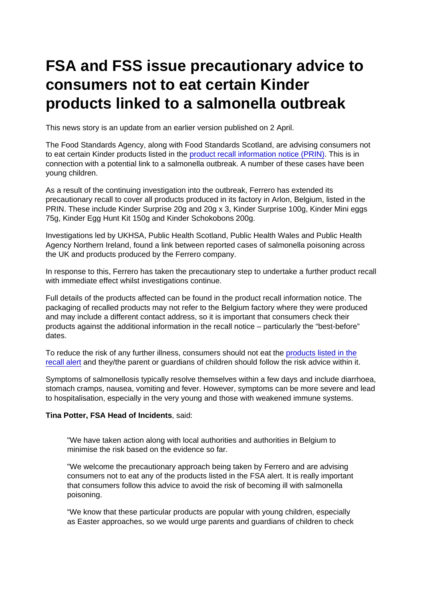## FSA and FSS issue precautionary advice to consumers not to eat certain Kinder products linked to a salmonella outbreak

This news story is an update from an earlier version published on 2 April.

The Food Standards Agency, along with Food Standards Scotland, are advising consumers not to eat certain Kinder products listed in the [product recall information notice \(PRIN\).](https://www.food.gov.uk/news-alerts/alert/fsa-prin-22-2022-update-1) This is in connection with a potential link to a salmonella outbreak. A number of these cases have been young children.

As a result of the continuing investigation into the outbreak, Ferrero has extended its precautionary recall to cover all products produced in its factory in Arlon, Belgium, listed in the PRIN. These include Kinder Surprise 20g and 20g x 3, Kinder Surprise 100g, Kinder Mini eggs 75g, Kinder Egg Hunt Kit 150g and Kinder Schokobons 200g.

Investigations led by UKHSA, Public Health Scotland, Public Health Wales and Public Health Agency Northern Ireland, found a link between reported cases of salmonella poisoning across the UK and products produced by the Ferrero company.

In response to this, Ferrero has taken the precautionary step to undertake a further product recall with immediate effect whilst investigations continue.

Full details of the products affected can be found in the product recall information notice. The packaging of recalled products may not refer to the Belgium factory where they were produced and may include a different contact address, so it is important that consumers check their products against the additional information in the recall notice – particularly the "best-before" dates.

To reduce the risk of any further illness, consumers should not eat the [products listed in the](https://www.food.gov.uk/news-alerts/alert/fsa-prin-22-2022-update-1) [recall alert](https://www.food.gov.uk/news-alerts/alert/fsa-prin-22-2022-update-1) and they/the parent or guardians of children should follow the risk advice within it.

Symptoms of salmonellosis typically resolve themselves within a few days and include diarrhoea, stomach cramps, nausea, vomiting and fever. However, symptoms can be more severe and lead to hospitalisation, especially in the very young and those with weakened immune systems.

Tina Potter, FSA Head of Incidents , said:

"We have taken action along with local authorities and authorities in Belgium to minimise the risk based on the evidence so far.

"We welcome the precautionary approach being taken by Ferrero and are advising consumers not to eat any of the products listed in the FSA alert. It is really important that consumers follow this advice to avoid the risk of becoming ill with salmonella poisoning.

"We know that these particular products are popular with young children, especially as Easter approaches, so we would urge parents and guardians of children to check